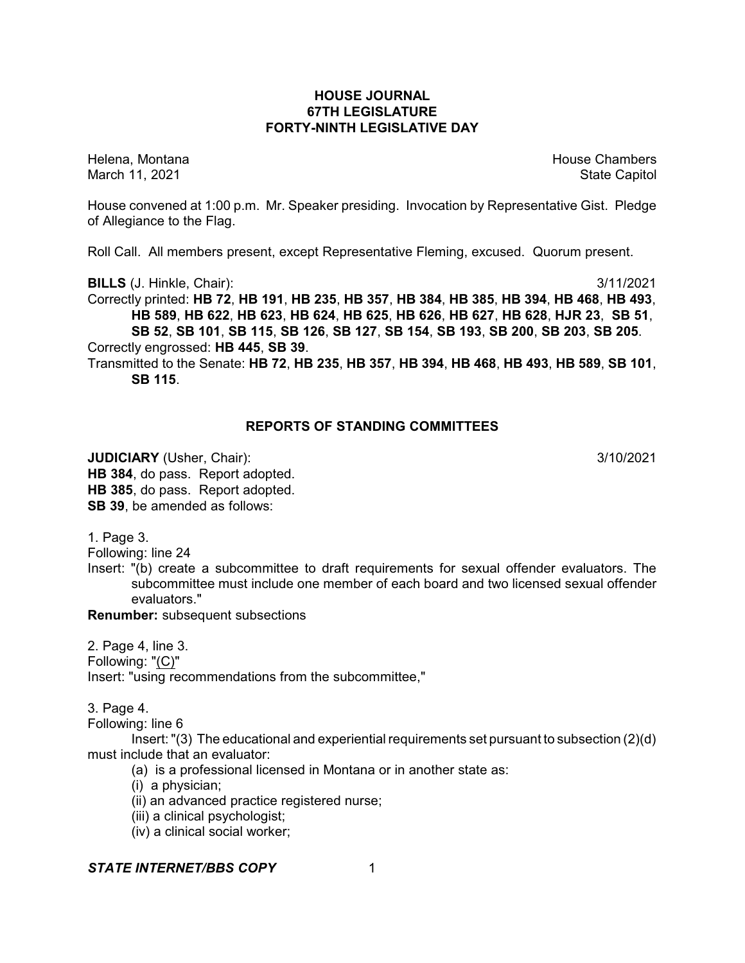## **HOUSE JOURNAL 67TH LEGISLATURE FORTY-NINTH LEGISLATIVE DAY**

Helena, Montana House Chambers Chambers Chambers and House Chambers Chambers Chambers Chambers Chambers Chambers Chambers Chambers Chambers Chambers Chambers Chambers Chambers Chambers Chambers Chambers Chambers Chambers C March 11, 2021 **State Capitol** State Capitol State Capitol State Capitol State Capitol State Capitol State Capitol

House convened at 1:00 p.m. Mr. Speaker presiding. Invocation by Representative Gist. Pledge of Allegiance to the Flag.

Roll Call. All members present, except Representative Fleming, excused. Quorum present.

**BILLS** (J. Hinkle, Chair): 3/11/2021

Correctly printed: **HB 72**, **HB 191**, **HB 235**, **HB 357**, **HB 384**, **HB 385**, **HB 394**, **HB 468**, **HB 493**, **HB 589**, **HB 622**, **HB 623**, **HB 624**, **HB 625**, **HB 626**, **HB 627**, **HB 628**, **HJR 23**, **SB 51**, **SB 52**, **SB 101**, **SB 115**, **SB 126**, **SB 127**, **SB 154**, **SB 193**, **SB 200**, **SB 203**, **SB 205**.

Correctly engrossed: **HB 445**, **SB 39**.

Transmitted to the Senate: **HB 72**, **HB 235**, **HB 357**, **HB 394**, **HB 468**, **HB 493**, **HB 589**, **SB 101**, **SB 115**.

# **REPORTS OF STANDING COMMITTEES**

**JUDICIARY** (Usher, Chair): 3/10/2021 **HB 384**, do pass. Report adopted. **HB 385**, do pass. Report adopted. **SB 39**, be amended as follows:

1. Page 3.

Following: line 24

Insert: "(b) create a subcommittee to draft requirements for sexual offender evaluators. The subcommittee must include one member of each board and two licensed sexual offender evaluators."

**Renumber:** subsequent subsections

2. Page 4, line 3. Following: "(C)" Insert: "using recommendations from the subcommittee,"

3. Page 4.

Following: line 6

Insert:"(3) The educational and experiential requirements set pursuant to subsection (2)(d) must include that an evaluator:

(a) is a professional licensed in Montana or in another state as:

(i) a physician;

- (ii) an advanced practice registered nurse;
- (iii) a clinical psychologist;
- (iv) a clinical social worker;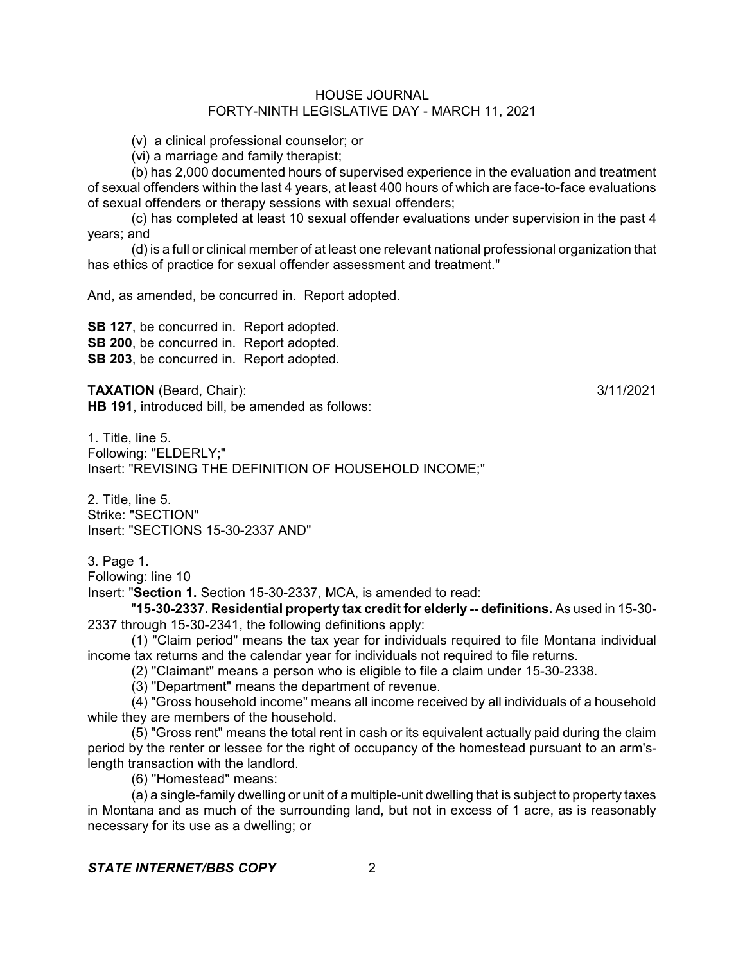(v) a clinical professional counselor; or

(vi) a marriage and family therapist;

(b) has 2,000 documented hours of supervised experience in the evaluation and treatment of sexual offenders within the last 4 years, at least 400 hours of which are face-to-face evaluations of sexual offenders or therapy sessions with sexual offenders;

(c) has completed at least 10 sexual offender evaluations under supervision in the past 4 years; and

(d) is a full or clinical member of at least one relevant national professional organization that has ethics of practice for sexual offender assessment and treatment."

And, as amended, be concurred in. Report adopted.

**SB 127**, be concurred in. Report adopted. **SB 200**, be concurred in. Report adopted. **SB 203**, be concurred in. Report adopted.

**TAXATION** (Beard, Chair): 3/11/2021 **HB 191**, introduced bill, be amended as follows:

1. Title, line 5. Following: "ELDERLY;" Insert: "REVISING THE DEFINITION OF HOUSEHOLD INCOME;"

2. Title, line 5. Strike: "SECTION" Insert: "SECTIONS 15-30-2337 AND"

3. Page 1.

Following: line 10

Insert: "**Section 1.** Section 15-30-2337, MCA, is amended to read:

"**15-30-2337. Residential property tax credit for elderly -- definitions.** As used in 15-30- 2337 through 15-30-2341, the following definitions apply:

(1) "Claim period" means the tax year for individuals required to file Montana individual income tax returns and the calendar year for individuals not required to file returns.

(2) "Claimant" means a person who is eligible to file a claim under 15-30-2338.

(3) "Department" means the department of revenue.

(4) "Gross household income" means all income received by all individuals of a household while they are members of the household.

(5) "Gross rent" means the total rent in cash or its equivalent actually paid during the claim period by the renter or lessee for the right of occupancy of the homestead pursuant to an arm'slength transaction with the landlord.

(6) "Homestead" means:

(a) a single-family dwelling or unit of a multiple-unit dwelling that is subject to property taxes in Montana and as much of the surrounding land, but not in excess of 1 acre, as is reasonably necessary for its use as a dwelling; or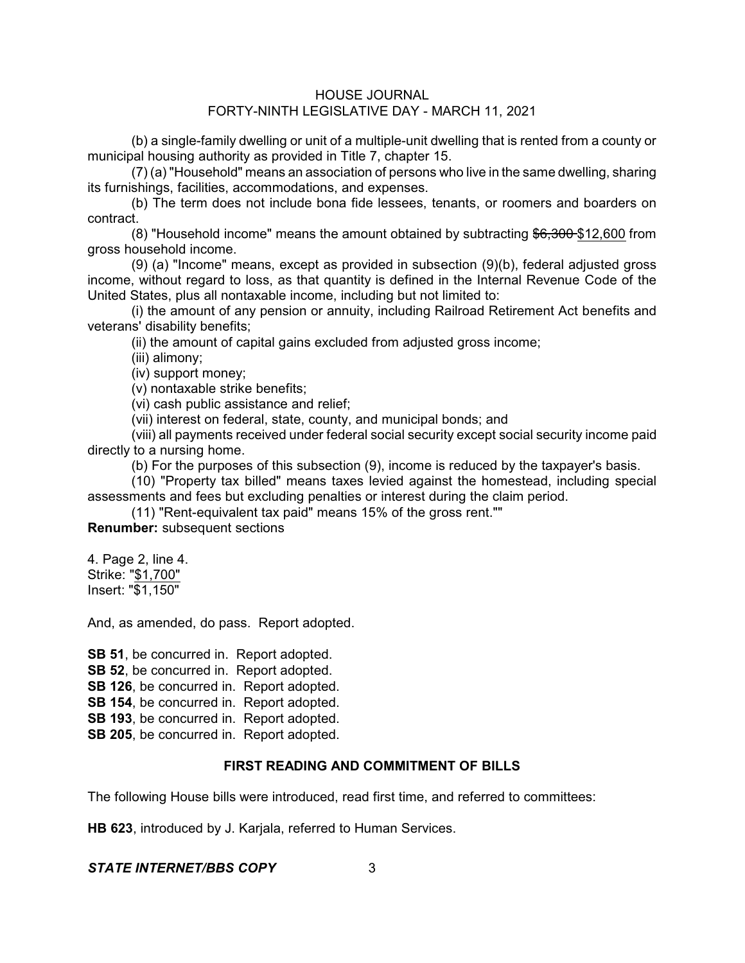(b) a single-family dwelling or unit of a multiple-unit dwelling that is rented from a county or municipal housing authority as provided in Title 7, chapter 15.

(7) (a) "Household" means an association of persons who live in the same dwelling, sharing its furnishings, facilities, accommodations, and expenses.

(b) The term does not include bona fide lessees, tenants, or roomers and boarders on contract.

(8) "Household income" means the amount obtained by subtracting \$6,300 \$12,600 from gross household income.

(9) (a) "Income" means, except as provided in subsection (9)(b), federal adjusted gross income, without regard to loss, as that quantity is defined in the Internal Revenue Code of the United States, plus all nontaxable income, including but not limited to:

(i) the amount of any pension or annuity, including Railroad Retirement Act benefits and veterans' disability benefits;

(ii) the amount of capital gains excluded from adjusted gross income;

(iii) alimony;

(iv) support money;

(v) nontaxable strike benefits;

(vi) cash public assistance and relief;

(vii) interest on federal, state, county, and municipal bonds; and

(viii) all payments received under federal social security except social security income paid directly to a nursing home.

(b) For the purposes of this subsection (9), income is reduced by the taxpayer's basis.

(10) "Property tax billed" means taxes levied against the homestead, including special assessments and fees but excluding penalties or interest during the claim period.

(11) "Rent-equivalent tax paid" means 15% of the gross rent.""

**Renumber:** subsequent sections

4. Page 2, line 4. Strike: "\$1,700" Insert: "\$1,150"

And, as amended, do pass. Report adopted.

**SB 51**, be concurred in. Report adopted.

**SB 52**, be concurred in. Report adopted.

**SB 126**, be concurred in. Report adopted.

**SB 154**, be concurred in. Report adopted.

**SB 193.** be concurred in. Report adopted.

**SB 205**, be concurred in. Report adopted.

# **FIRST READING AND COMMITMENT OF BILLS**

The following House bills were introduced, read first time, and referred to committees:

**HB 623**, introduced by J. Karjala, referred to Human Services.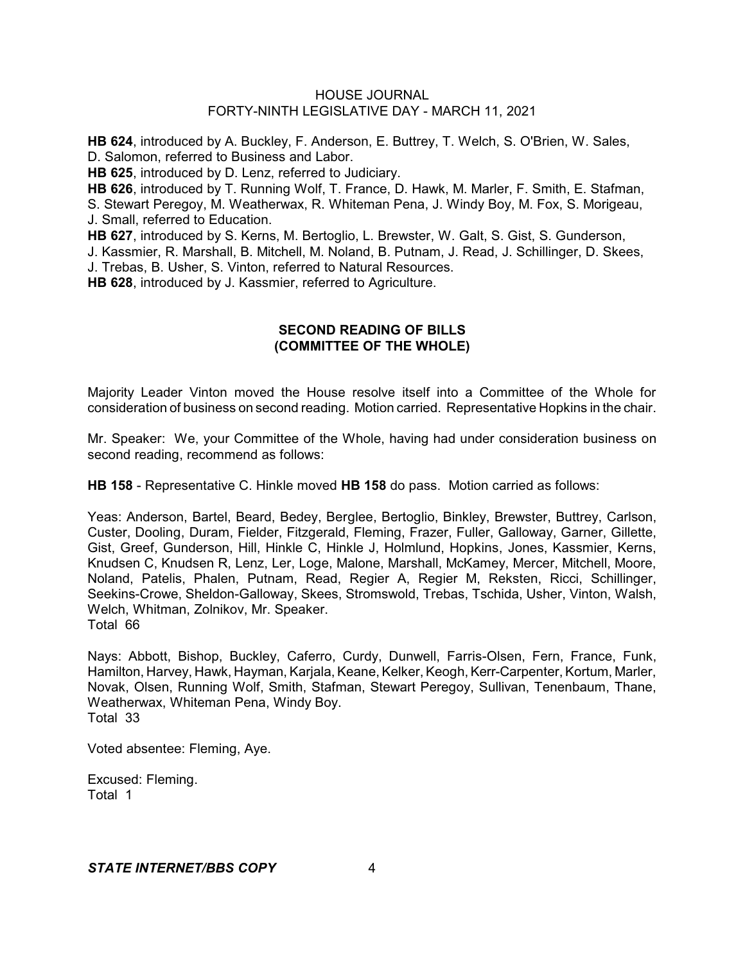**HB 624**, introduced by A. Buckley, F. Anderson, E. Buttrey, T. Welch, S. O'Brien, W. Sales, D. Salomon, referred to Business and Labor.

**HB 625**, introduced by D. Lenz, referred to Judiciary.

**HB 626**, introduced by T. Running Wolf, T. France, D. Hawk, M. Marler, F. Smith, E. Stafman, S. Stewart Peregoy, M. Weatherwax, R. Whiteman Pena, J. Windy Boy, M. Fox, S. Morigeau, J. Small, referred to Education.

**HB 627**, introduced by S. Kerns, M. Bertoglio, L. Brewster, W. Galt, S. Gist, S. Gunderson,

J. Kassmier, R. Marshall, B. Mitchell, M. Noland, B. Putnam, J. Read, J. Schillinger, D. Skees, J. Trebas, B. Usher, S. Vinton, referred to Natural Resources.

**HB 628**, introduced by J. Kassmier, referred to Agriculture.

# **SECOND READING OF BILLS (COMMITTEE OF THE WHOLE)**

Majority Leader Vinton moved the House resolve itself into a Committee of the Whole for consideration of business on second reading. Motion carried. Representative Hopkins in the chair.

Mr. Speaker: We, your Committee of the Whole, having had under consideration business on second reading, recommend as follows:

**HB 158** - Representative C. Hinkle moved **HB 158** do pass. Motion carried as follows:

Yeas: Anderson, Bartel, Beard, Bedey, Berglee, Bertoglio, Binkley, Brewster, Buttrey, Carlson, Custer, Dooling, Duram, Fielder, Fitzgerald, Fleming, Frazer, Fuller, Galloway, Garner, Gillette, Gist, Greef, Gunderson, Hill, Hinkle C, Hinkle J, Holmlund, Hopkins, Jones, Kassmier, Kerns, Knudsen C, Knudsen R, Lenz, Ler, Loge, Malone, Marshall, McKamey, Mercer, Mitchell, Moore, Noland, Patelis, Phalen, Putnam, Read, Regier A, Regier M, Reksten, Ricci, Schillinger, Seekins-Crowe, Sheldon-Galloway, Skees, Stromswold, Trebas, Tschida, Usher, Vinton, Walsh, Welch, Whitman, Zolnikov, Mr. Speaker. Total 66

Nays: Abbott, Bishop, Buckley, Caferro, Curdy, Dunwell, Farris-Olsen, Fern, France, Funk, Hamilton, Harvey, Hawk, Hayman, Karjala, Keane, Kelker, Keogh, Kerr-Carpenter, Kortum, Marler, Novak, Olsen, Running Wolf, Smith, Stafman, Stewart Peregoy, Sullivan, Tenenbaum, Thane, Weatherwax, Whiteman Pena, Windy Boy. Total 33

Voted absentee: Fleming, Aye.

Excused: Fleming. Total 1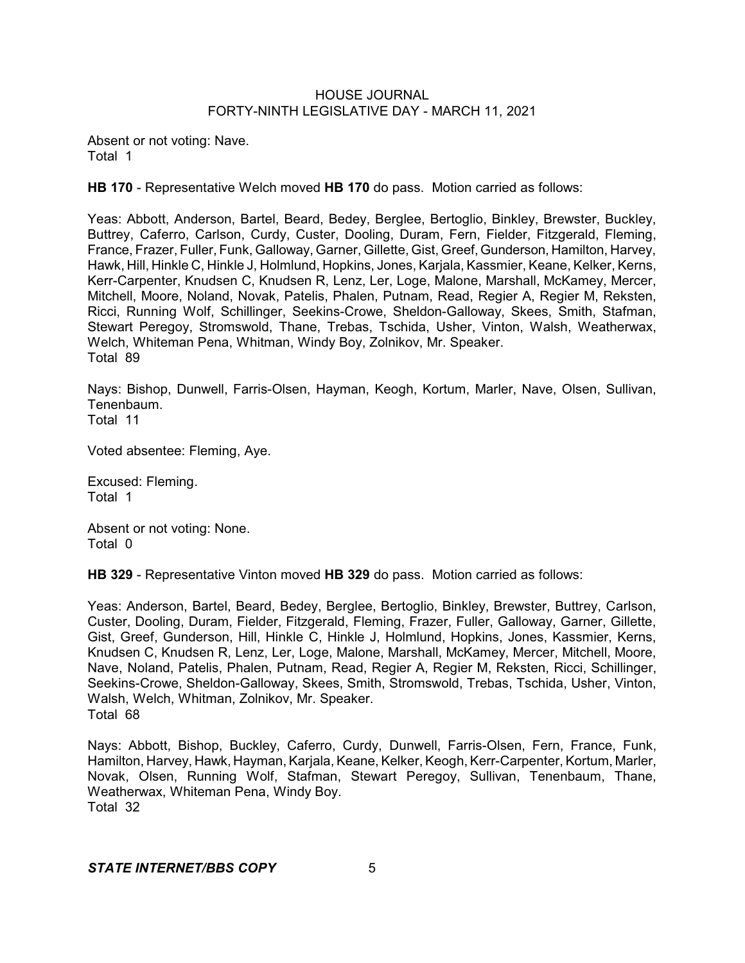Absent or not voting: Nave. Total 1

**HB 170** - Representative Welch moved **HB 170** do pass. Motion carried as follows:

Yeas: Abbott, Anderson, Bartel, Beard, Bedey, Berglee, Bertoglio, Binkley, Brewster, Buckley, Buttrey, Caferro, Carlson, Curdy, Custer, Dooling, Duram, Fern, Fielder, Fitzgerald, Fleming, France, Frazer, Fuller, Funk, Galloway, Garner, Gillette, Gist, Greef,Gunderson, Hamilton, Harvey, Hawk, Hill, Hinkle C, Hinkle J, Holmlund, Hopkins, Jones, Karjala, Kassmier, Keane, Kelker, Kerns, Kerr-Carpenter, Knudsen C, Knudsen R, Lenz, Ler, Loge, Malone, Marshall, McKamey, Mercer, Mitchell, Moore, Noland, Novak, Patelis, Phalen, Putnam, Read, Regier A, Regier M, Reksten, Ricci, Running Wolf, Schillinger, Seekins-Crowe, Sheldon-Galloway, Skees, Smith, Stafman, Stewart Peregoy, Stromswold, Thane, Trebas, Tschida, Usher, Vinton, Walsh, Weatherwax, Welch, Whiteman Pena, Whitman, Windy Boy, Zolnikov, Mr. Speaker. Total 89

Nays: Bishop, Dunwell, Farris-Olsen, Hayman, Keogh, Kortum, Marler, Nave, Olsen, Sullivan, Tenenbaum. Total 11

Voted absentee: Fleming, Aye.

Excused: Fleming. Total 1

Absent or not voting: None. Total 0

**HB 329** - Representative Vinton moved **HB 329** do pass. Motion carried as follows:

Yeas: Anderson, Bartel, Beard, Bedey, Berglee, Bertoglio, Binkley, Brewster, Buttrey, Carlson, Custer, Dooling, Duram, Fielder, Fitzgerald, Fleming, Frazer, Fuller, Galloway, Garner, Gillette, Gist, Greef, Gunderson, Hill, Hinkle C, Hinkle J, Holmlund, Hopkins, Jones, Kassmier, Kerns, Knudsen C, Knudsen R, Lenz, Ler, Loge, Malone, Marshall, McKamey, Mercer, Mitchell, Moore, Nave, Noland, Patelis, Phalen, Putnam, Read, Regier A, Regier M, Reksten, Ricci, Schillinger, Seekins-Crowe, Sheldon-Galloway, Skees, Smith, Stromswold, Trebas, Tschida, Usher, Vinton, Walsh, Welch, Whitman, Zolnikov, Mr. Speaker. Total 68

Nays: Abbott, Bishop, Buckley, Caferro, Curdy, Dunwell, Farris-Olsen, Fern, France, Funk, Hamilton, Harvey, Hawk, Hayman, Karjala, Keane, Kelker, Keogh, Kerr-Carpenter, Kortum, Marler, Novak, Olsen, Running Wolf, Stafman, Stewart Peregoy, Sullivan, Tenenbaum, Thane, Weatherwax, Whiteman Pena, Windy Boy. Total 32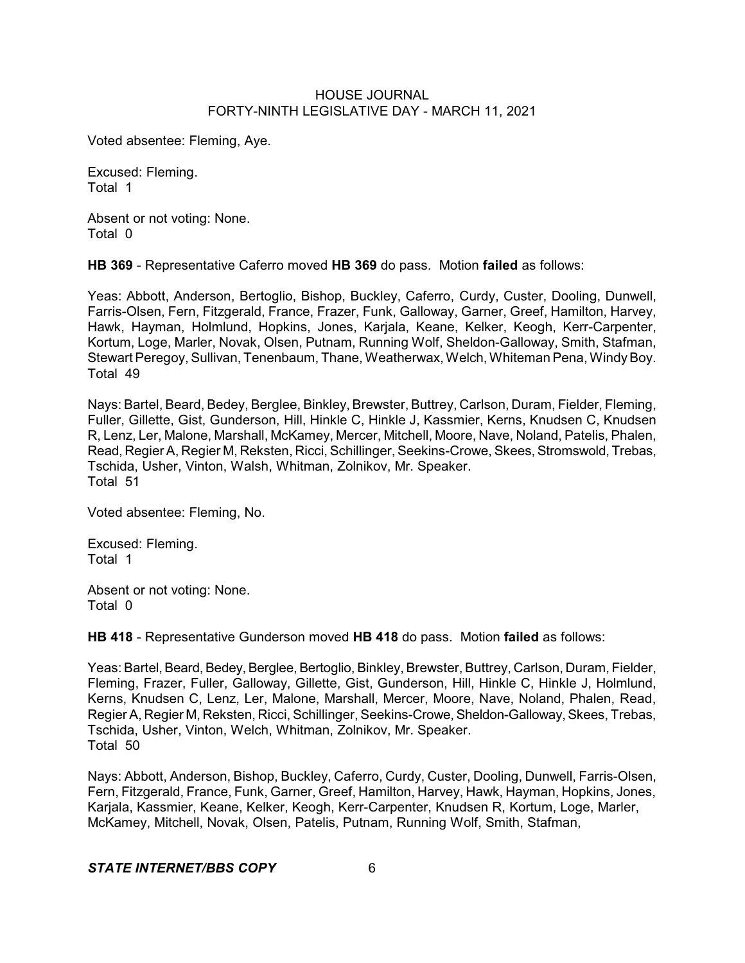Voted absentee: Fleming, Aye.

Excused: Fleming. Total 1

Absent or not voting: None. Total 0

**HB 369** - Representative Caferro moved **HB 369** do pass. Motion **failed** as follows:

Yeas: Abbott, Anderson, Bertoglio, Bishop, Buckley, Caferro, Curdy, Custer, Dooling, Dunwell, Farris-Olsen, Fern, Fitzgerald, France, Frazer, Funk, Galloway, Garner, Greef, Hamilton, Harvey, Hawk, Hayman, Holmlund, Hopkins, Jones, Karjala, Keane, Kelker, Keogh, Kerr-Carpenter, Kortum, Loge, Marler, Novak, Olsen, Putnam, Running Wolf, Sheldon-Galloway, Smith, Stafman, Stewart Peregoy, Sullivan, Tenenbaum, Thane, Weatherwax, Welch, Whiteman Pena, Windy Boy. Total 49

Nays: Bartel, Beard, Bedey, Berglee, Binkley, Brewster, Buttrey, Carlson, Duram, Fielder, Fleming, Fuller, Gillette, Gist, Gunderson, Hill, Hinkle C, Hinkle J, Kassmier, Kerns, Knudsen C, Knudsen R, Lenz, Ler, Malone, Marshall, McKamey, Mercer, Mitchell, Moore, Nave, Noland, Patelis, Phalen, Read, Regier A, Regier M, Reksten, Ricci, Schillinger, Seekins-Crowe, Skees, Stromswold, Trebas, Tschida, Usher, Vinton, Walsh, Whitman, Zolnikov, Mr. Speaker. Total 51

Voted absentee: Fleming, No.

Excused: Fleming. Total 1

Absent or not voting: None. Total 0

**HB 418** - Representative Gunderson moved **HB 418** do pass. Motion **failed** as follows:

Yeas: Bartel, Beard, Bedey, Berglee, Bertoglio, Binkley, Brewster, Buttrey, Carlson, Duram, Fielder, Fleming, Frazer, Fuller, Galloway, Gillette, Gist, Gunderson, Hill, Hinkle C, Hinkle J, Holmlund, Kerns, Knudsen C, Lenz, Ler, Malone, Marshall, Mercer, Moore, Nave, Noland, Phalen, Read, Regier A, Regier M, Reksten, Ricci, Schillinger, Seekins-Crowe, Sheldon-Galloway, Skees, Trebas, Tschida, Usher, Vinton, Welch, Whitman, Zolnikov, Mr. Speaker. Total 50

Nays: Abbott, Anderson, Bishop, Buckley, Caferro, Curdy, Custer, Dooling, Dunwell, Farris-Olsen, Fern, Fitzgerald, France, Funk, Garner, Greef, Hamilton, Harvey, Hawk, Hayman, Hopkins, Jones, Karjala, Kassmier, Keane, Kelker, Keogh, Kerr-Carpenter, Knudsen R, Kortum, Loge, Marler, McKamey, Mitchell, Novak, Olsen, Patelis, Putnam, Running Wolf, Smith, Stafman,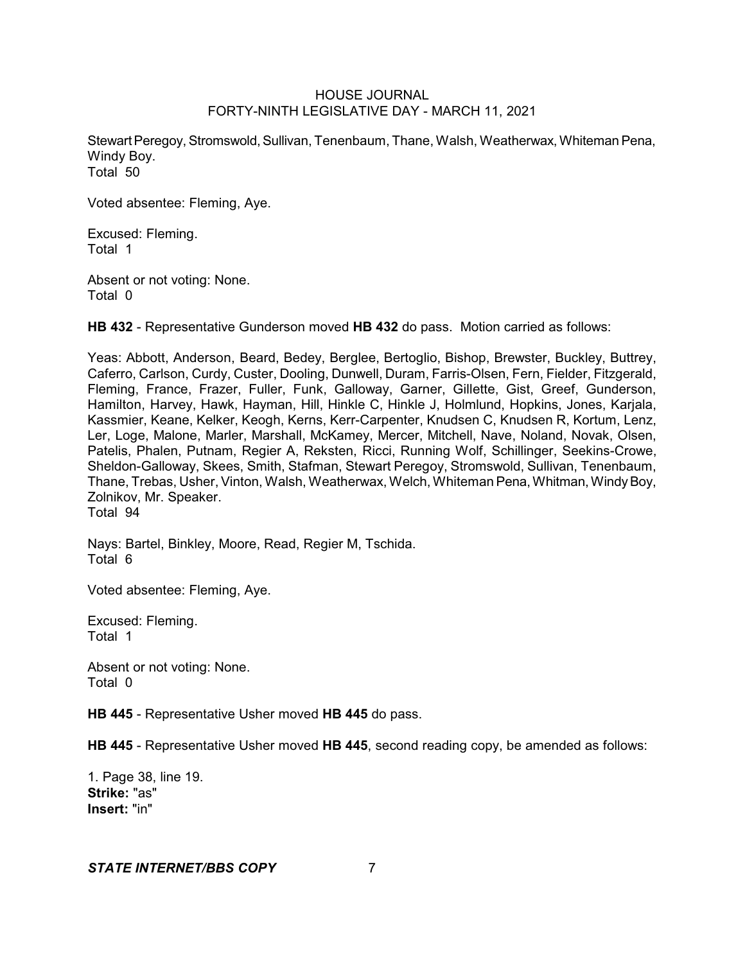Stewart Peregoy, Stromswold, Sullivan, Tenenbaum, Thane, Walsh, Weatherwax, Whiteman Pena, Windy Boy. Total 50

Voted absentee: Fleming, Aye.

Excused: Fleming. Total 1

Absent or not voting: None. Total 0

**HB 432** - Representative Gunderson moved **HB 432** do pass. Motion carried as follows:

Yeas: Abbott, Anderson, Beard, Bedey, Berglee, Bertoglio, Bishop, Brewster, Buckley, Buttrey, Caferro, Carlson, Curdy, Custer, Dooling, Dunwell, Duram, Farris-Olsen, Fern, Fielder, Fitzgerald, Fleming, France, Frazer, Fuller, Funk, Galloway, Garner, Gillette, Gist, Greef, Gunderson, Hamilton, Harvey, Hawk, Hayman, Hill, Hinkle C, Hinkle J, Holmlund, Hopkins, Jones, Karjala, Kassmier, Keane, Kelker, Keogh, Kerns, Kerr-Carpenter, Knudsen C, Knudsen R, Kortum, Lenz, Ler, Loge, Malone, Marler, Marshall, McKamey, Mercer, Mitchell, Nave, Noland, Novak, Olsen, Patelis, Phalen, Putnam, Regier A, Reksten, Ricci, Running Wolf, Schillinger, Seekins-Crowe, Sheldon-Galloway, Skees, Smith, Stafman, Stewart Peregoy, Stromswold, Sullivan, Tenenbaum, Thane, Trebas, Usher, Vinton, Walsh, Weatherwax, Welch, Whiteman Pena, Whitman, WindyBoy, Zolnikov, Mr. Speaker. Total 94

Nays: Bartel, Binkley, Moore, Read, Regier M, Tschida. Total 6

Voted absentee: Fleming, Aye.

Excused: Fleming. Total 1

Absent or not voting: None. Total 0

**HB 445** - Representative Usher moved **HB 445** do pass.

**HB 445** - Representative Usher moved **HB 445**, second reading copy, be amended as follows:

1. Page 38, line 19. **Strike:** "as" **Insert:** "in"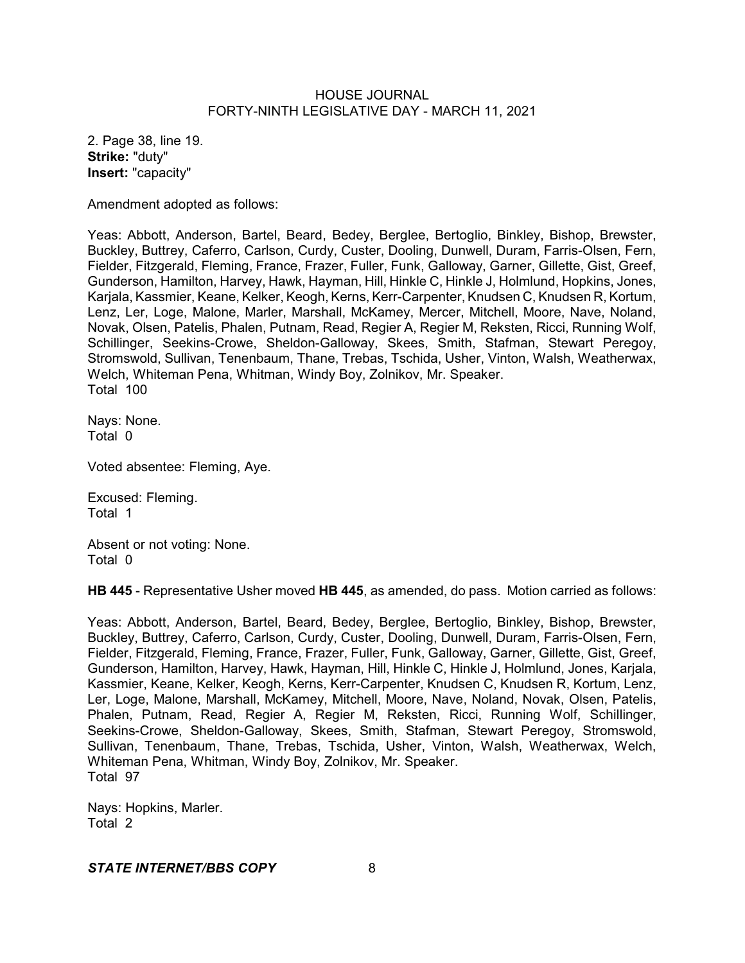2. Page 38, line 19. **Strike:** "duty" **Insert:** "capacity"

Amendment adopted as follows:

Yeas: Abbott, Anderson, Bartel, Beard, Bedey, Berglee, Bertoglio, Binkley, Bishop, Brewster, Buckley, Buttrey, Caferro, Carlson, Curdy, Custer, Dooling, Dunwell, Duram, Farris-Olsen, Fern, Fielder, Fitzgerald, Fleming, France, Frazer, Fuller, Funk, Galloway, Garner, Gillette, Gist, Greef, Gunderson, Hamilton, Harvey, Hawk, Hayman, Hill, Hinkle C, Hinkle J, Holmlund, Hopkins, Jones, Karjala, Kassmier, Keane, Kelker, Keogh, Kerns, Kerr-Carpenter, Knudsen C, Knudsen R, Kortum, Lenz, Ler, Loge, Malone, Marler, Marshall, McKamey, Mercer, Mitchell, Moore, Nave, Noland, Novak, Olsen, Patelis, Phalen, Putnam, Read, Regier A, Regier M, Reksten, Ricci, Running Wolf, Schillinger, Seekins-Crowe, Sheldon-Galloway, Skees, Smith, Stafman, Stewart Peregoy, Stromswold, Sullivan, Tenenbaum, Thane, Trebas, Tschida, Usher, Vinton, Walsh, Weatherwax, Welch, Whiteman Pena, Whitman, Windy Boy, Zolnikov, Mr. Speaker. Total 100

Nays: None. Total 0

Voted absentee: Fleming, Aye.

Excused: Fleming. Total 1

Absent or not voting: None. Total 0

**HB 445** - Representative Usher moved **HB 445**, as amended, do pass. Motion carried as follows:

Yeas: Abbott, Anderson, Bartel, Beard, Bedey, Berglee, Bertoglio, Binkley, Bishop, Brewster, Buckley, Buttrey, Caferro, Carlson, Curdy, Custer, Dooling, Dunwell, Duram, Farris-Olsen, Fern, Fielder, Fitzgerald, Fleming, France, Frazer, Fuller, Funk, Galloway, Garner, Gillette, Gist, Greef, Gunderson, Hamilton, Harvey, Hawk, Hayman, Hill, Hinkle C, Hinkle J, Holmlund, Jones, Karjala, Kassmier, Keane, Kelker, Keogh, Kerns, Kerr-Carpenter, Knudsen C, Knudsen R, Kortum, Lenz, Ler, Loge, Malone, Marshall, McKamey, Mitchell, Moore, Nave, Noland, Novak, Olsen, Patelis, Phalen, Putnam, Read, Regier A, Regier M, Reksten, Ricci, Running Wolf, Schillinger, Seekins-Crowe, Sheldon-Galloway, Skees, Smith, Stafman, Stewart Peregoy, Stromswold, Sullivan, Tenenbaum, Thane, Trebas, Tschida, Usher, Vinton, Walsh, Weatherwax, Welch, Whiteman Pena, Whitman, Windy Boy, Zolnikov, Mr. Speaker. Total 97

Nays: Hopkins, Marler. Total 2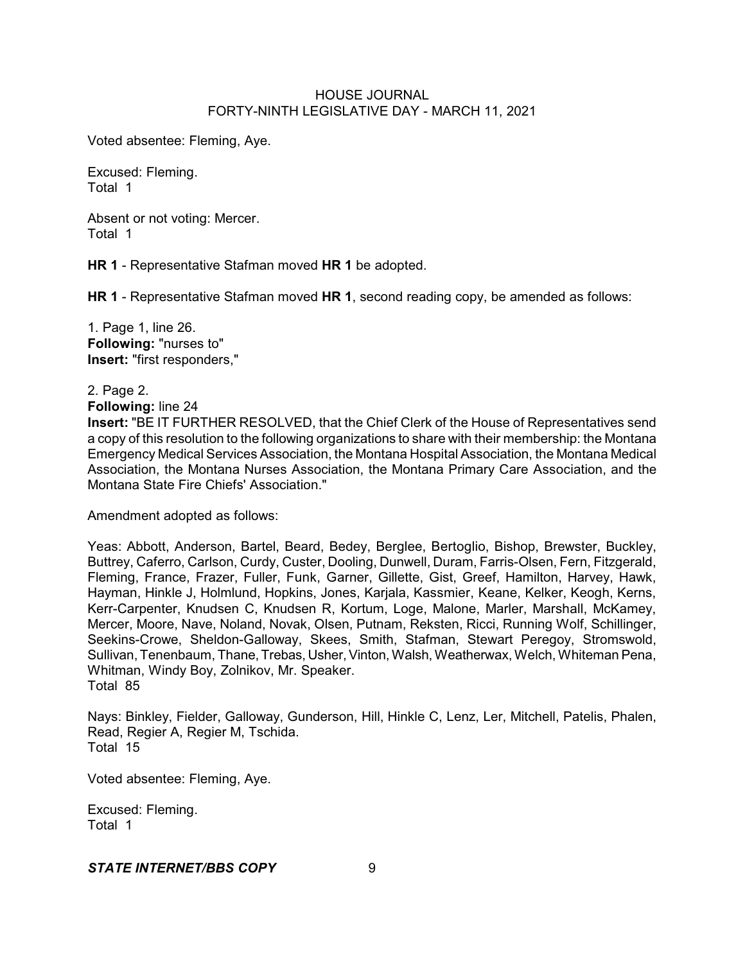Voted absentee: Fleming, Aye.

Excused: Fleming. Total 1

Absent or not voting: Mercer. Total 1

**HR 1** - Representative Stafman moved **HR 1** be adopted.

**HR 1** - Representative Stafman moved **HR 1**, second reading copy, be amended as follows:

1. Page 1, line 26. **Following:** "nurses to" **Insert:** "first responders,"

2. Page 2.

**Following:** line 24

**Insert:** "BE IT FURTHER RESOLVED, that the Chief Clerk of the House of Representatives send a copy of this resolution to the following organizations to share with their membership: the Montana Emergency Medical Services Association, the Montana Hospital Association, the Montana Medical Association, the Montana Nurses Association, the Montana Primary Care Association, and the Montana State Fire Chiefs' Association."

Amendment adopted as follows:

Yeas: Abbott, Anderson, Bartel, Beard, Bedey, Berglee, Bertoglio, Bishop, Brewster, Buckley, Buttrey, Caferro, Carlson, Curdy, Custer, Dooling, Dunwell, Duram, Farris-Olsen, Fern, Fitzgerald, Fleming, France, Frazer, Fuller, Funk, Garner, Gillette, Gist, Greef, Hamilton, Harvey, Hawk, Hayman, Hinkle J, Holmlund, Hopkins, Jones, Karjala, Kassmier, Keane, Kelker, Keogh, Kerns, Kerr-Carpenter, Knudsen C, Knudsen R, Kortum, Loge, Malone, Marler, Marshall, McKamey, Mercer, Moore, Nave, Noland, Novak, Olsen, Putnam, Reksten, Ricci, Running Wolf, Schillinger, Seekins-Crowe, Sheldon-Galloway, Skees, Smith, Stafman, Stewart Peregoy, Stromswold, Sullivan, Tenenbaum, Thane, Trebas, Usher,Vinton, Walsh, Weatherwax, Welch, Whiteman Pena, Whitman, Windy Boy, Zolnikov, Mr. Speaker. Total 85

Nays: Binkley, Fielder, Galloway, Gunderson, Hill, Hinkle C, Lenz, Ler, Mitchell, Patelis, Phalen, Read, Regier A, Regier M, Tschida. Total 15

Voted absentee: Fleming, Aye.

Excused: Fleming. Total 1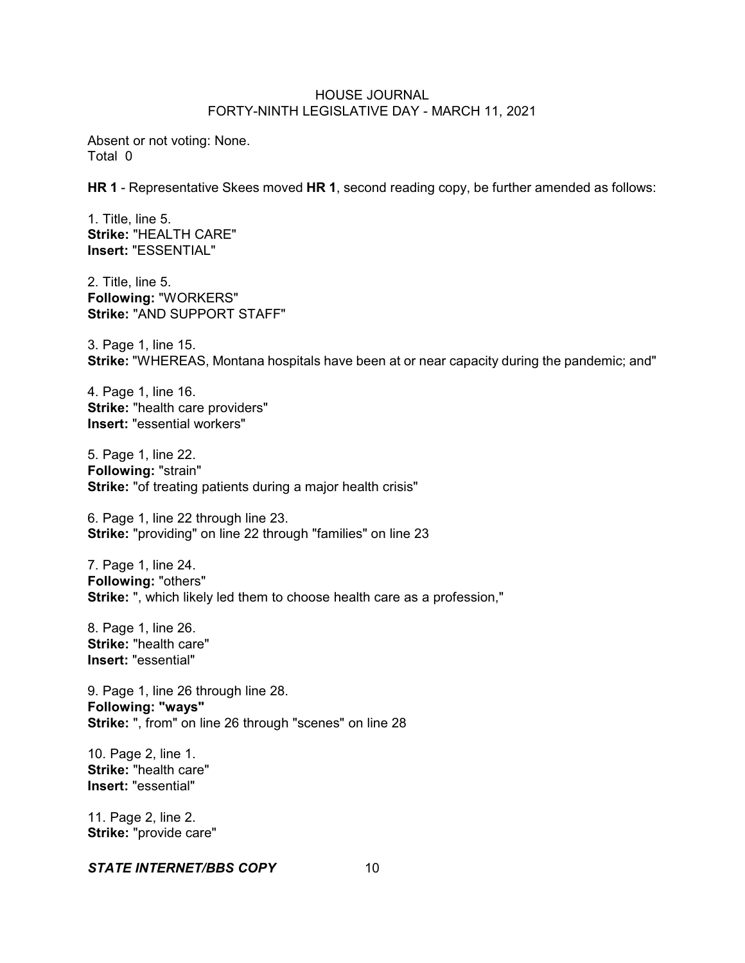Absent or not voting: None. Total 0

**HR 1** - Representative Skees moved **HR 1**, second reading copy, be further amended as follows:

1. Title, line 5. **Strike:** "HEALTH CARE" **Insert:** "ESSENTIAL"

2. Title, line 5. **Following:** "WORKERS" **Strike:** "AND SUPPORT STAFF"

3. Page 1, line 15. **Strike:** "WHEREAS, Montana hospitals have been at or near capacity during the pandemic; and"

4. Page 1, line 16. **Strike:** "health care providers" **Insert:** "essential workers"

5. Page 1, line 22. **Following:** "strain" **Strike:** "of treating patients during a major health crisis"

6. Page 1, line 22 through line 23. **Strike:** "providing" on line 22 through "families" on line 23

7. Page 1, line 24. **Following:** "others" **Strike:** ", which likely led them to choose health care as a profession,"

8. Page 1, line 26. **Strike:** "health care" **Insert:** "essential"

9. Page 1, line 26 through line 28. **Following: "ways" Strike:** ", from" on line 26 through "scenes" on line 28

10. Page 2, line 1. **Strike:** "health care" **Insert:** "essential"

11. Page 2, line 2. **Strike:** "provide care"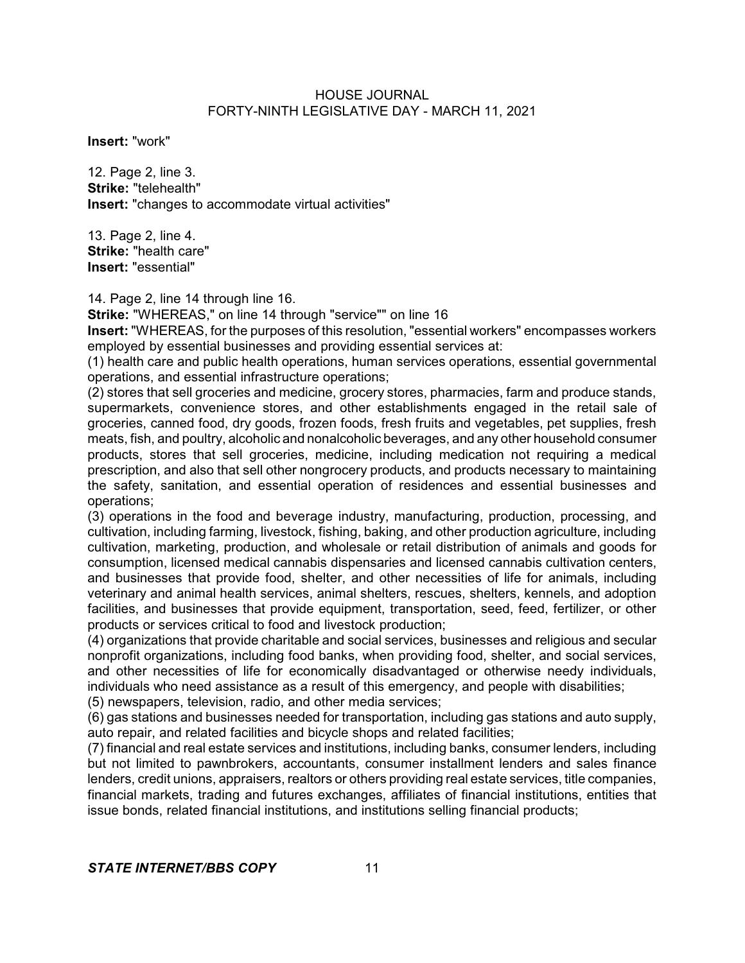**Insert:** "work"

12. Page 2, line 3. **Strike:** "telehealth" **Insert:** "changes to accommodate virtual activities"

13. Page 2, line 4. **Strike:** "health care" **Insert:** "essential"

14. Page 2, line 14 through line 16.

**Strike:** "WHEREAS," on line 14 through "service"" on line 16

**Insert:** "WHEREAS, for the purposes of this resolution, "essential workers" encompasses workers employed by essential businesses and providing essential services at:

(1) health care and public health operations, human services operations, essential governmental operations, and essential infrastructure operations;

(2) stores that sell groceries and medicine, grocery stores, pharmacies, farm and produce stands, supermarkets, convenience stores, and other establishments engaged in the retail sale of groceries, canned food, dry goods, frozen foods, fresh fruits and vegetables, pet supplies, fresh meats, fish, and poultry, alcoholic and nonalcoholic beverages, and any other household consumer products, stores that sell groceries, medicine, including medication not requiring a medical prescription, and also that sell other nongrocery products, and products necessary to maintaining the safety, sanitation, and essential operation of residences and essential businesses and operations;

(3) operations in the food and beverage industry, manufacturing, production, processing, and cultivation, including farming, livestock, fishing, baking, and other production agriculture, including cultivation, marketing, production, and wholesale or retail distribution of animals and goods for consumption, licensed medical cannabis dispensaries and licensed cannabis cultivation centers, and businesses that provide food, shelter, and other necessities of life for animals, including veterinary and animal health services, animal shelters, rescues, shelters, kennels, and adoption facilities, and businesses that provide equipment, transportation, seed, feed, fertilizer, or other products or services critical to food and livestock production;

(4) organizations that provide charitable and social services, businesses and religious and secular nonprofit organizations, including food banks, when providing food, shelter, and social services, and other necessities of life for economically disadvantaged or otherwise needy individuals, individuals who need assistance as a result of this emergency, and people with disabilities;

(5) newspapers, television, radio, and other media services;

(6) gas stations and businesses needed for transportation, including gas stations and auto supply, auto repair, and related facilities and bicycle shops and related facilities;

(7) financial and real estate services and institutions, including banks, consumer lenders, including but not limited to pawnbrokers, accountants, consumer installment lenders and sales finance lenders, credit unions, appraisers, realtors or others providing real estate services, title companies, financial markets, trading and futures exchanges, affiliates of financial institutions, entities that issue bonds, related financial institutions, and institutions selling financial products;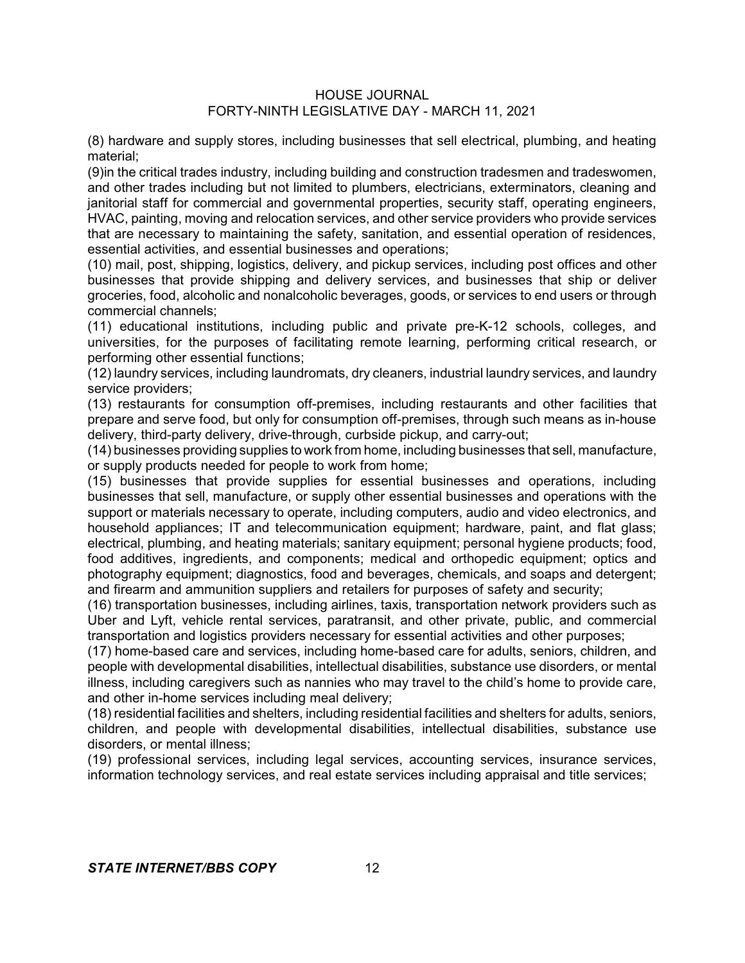(8) hardware and supply stores, including businesses that sell electrical, plumbing, and heating material;

(9)in the critical trades industry, including building and construction tradesmen and tradeswomen, and other trades including but not limited to plumbers, electricians, exterminators, cleaning and janitorial staff for commercial and governmental properties, security staff, operating engineers, HVAC, painting, moving and relocation services, and other service providers who provide services that are necessary to maintaining the safety, sanitation, and essential operation of residences, essential activities, and essential businesses and operations;

(10) mail, post, shipping, logistics, delivery, and pickup services, including post offices and other businesses that provide shipping and delivery services, and businesses that ship or deliver groceries, food, alcoholic and nonalcoholic beverages, goods, or services to end users or through commercial channels;

(11) educational institutions, including public and private pre-K-12 schools, colleges, and universities, for the purposes of facilitating remote learning, performing critical research, or performing other essential functions;

(12) laundry services, including laundromats, dry cleaners, industrial laundry services, and laundry service providers;

(13) restaurants for consumption off-premises, including restaurants and other facilities that prepare and serve food, but only for consumption off-premises, through such means as in-house delivery, third-party delivery, drive-through, curbside pickup, and carry-out;

(14) businesses providing supplies to work from home, including businesses that sell, manufacture, or supply products needed for people to work from home;

(15) businesses that provide supplies for essential businesses and operations, including businesses that sell, manufacture, or supply other essential businesses and operations with the support or materials necessary to operate, including computers, audio and video electronics, and household appliances; IT and telecommunication equipment; hardware, paint, and flat glass; electrical, plumbing, and heating materials; sanitary equipment; personal hygiene products; food, food additives, ingredients, and components; medical and orthopedic equipment; optics and photography equipment; diagnostics, food and beverages, chemicals, and soaps and detergent; and firearm and ammunition suppliers and retailers for purposes of safety and security;

(16) transportation businesses, including airlines, taxis, transportation network providers such as Uber and Lyft, vehicle rental services, paratransit, and other private, public, and commercial transportation and logistics providers necessary for essential activities and other purposes;

(17) home-based care and services, including home-based care for adults, seniors, children, and people with developmental disabilities, intellectual disabilities, substance use disorders, or mental illness, including caregivers such as nannies who may travel to the child's home to provide care, and other in-home services including meal delivery;

(18) residential facilities and shelters, including residential facilities and shelters for adults, seniors, children, and people with developmental disabilities, intellectual disabilities, substance use disorders, or mental illness;

(19) professional services, including legal services, accounting services, insurance services, information technology services, and real estate services including appraisal and title services;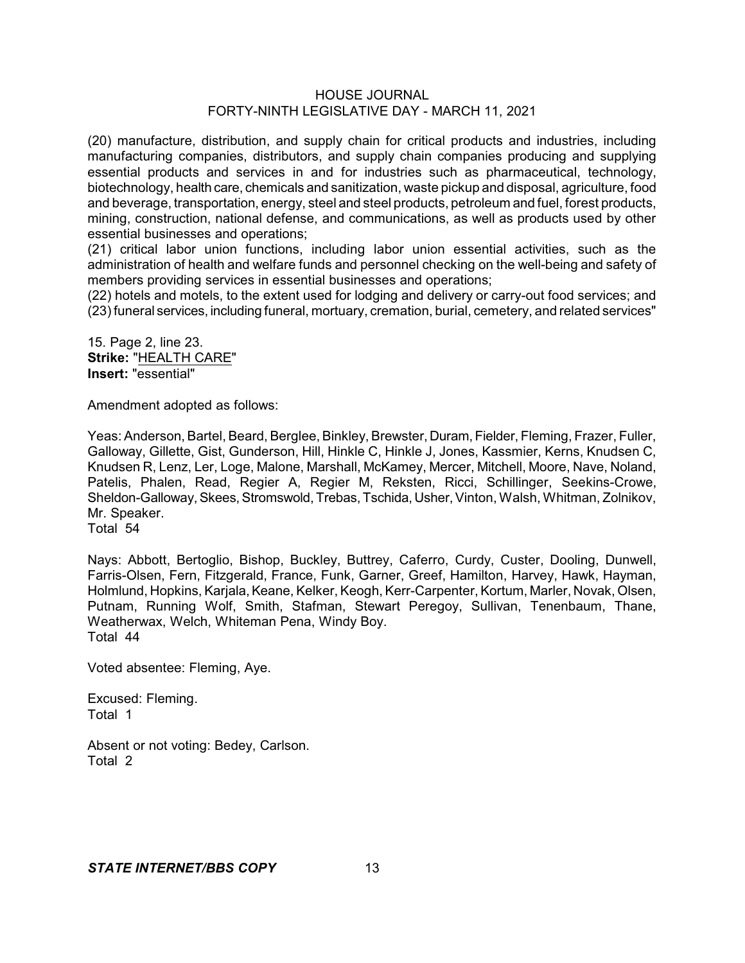(20) manufacture, distribution, and supply chain for critical products and industries, including manufacturing companies, distributors, and supply chain companies producing and supplying essential products and services in and for industries such as pharmaceutical, technology, biotechnology, health care, chemicals and sanitization, waste pickup and disposal, agriculture, food and beverage, transportation, energy, steel and steel products, petroleum and fuel, forest products, mining, construction, national defense, and communications, as well as products used by other essential businesses and operations;

(21) critical labor union functions, including labor union essential activities, such as the administration of health and welfare funds and personnel checking on the well-being and safety of members providing services in essential businesses and operations;

(22) hotels and motels, to the extent used for lodging and delivery or carry-out food services; and (23) funeral services, including funeral, mortuary, cremation, burial, cemetery, and related services"

15. Page 2, line 23. **Strike:** "HEALTH CARE" **Insert:** "essential"

Amendment adopted as follows:

Yeas: Anderson, Bartel, Beard, Berglee, Binkley, Brewster, Duram, Fielder, Fleming, Frazer, Fuller, Galloway, Gillette, Gist, Gunderson, Hill, Hinkle C, Hinkle J, Jones, Kassmier, Kerns, Knudsen C, Knudsen R, Lenz, Ler, Loge, Malone, Marshall, McKamey, Mercer, Mitchell, Moore, Nave, Noland, Patelis, Phalen, Read, Regier A, Regier M, Reksten, Ricci, Schillinger, Seekins-Crowe, Sheldon-Galloway, Skees, Stromswold, Trebas, Tschida, Usher, Vinton, Walsh, Whitman, Zolnikov, Mr. Speaker.

Total 54

Nays: Abbott, Bertoglio, Bishop, Buckley, Buttrey, Caferro, Curdy, Custer, Dooling, Dunwell, Farris-Olsen, Fern, Fitzgerald, France, Funk, Garner, Greef, Hamilton, Harvey, Hawk, Hayman, Holmlund, Hopkins, Karjala, Keane, Kelker, Keogh, Kerr-Carpenter, Kortum, Marler, Novak, Olsen, Putnam, Running Wolf, Smith, Stafman, Stewart Peregoy, Sullivan, Tenenbaum, Thane, Weatherwax, Welch, Whiteman Pena, Windy Boy. Total 44

Voted absentee: Fleming, Aye.

Excused: Fleming. Total 1

Absent or not voting: Bedey, Carlson. Total 2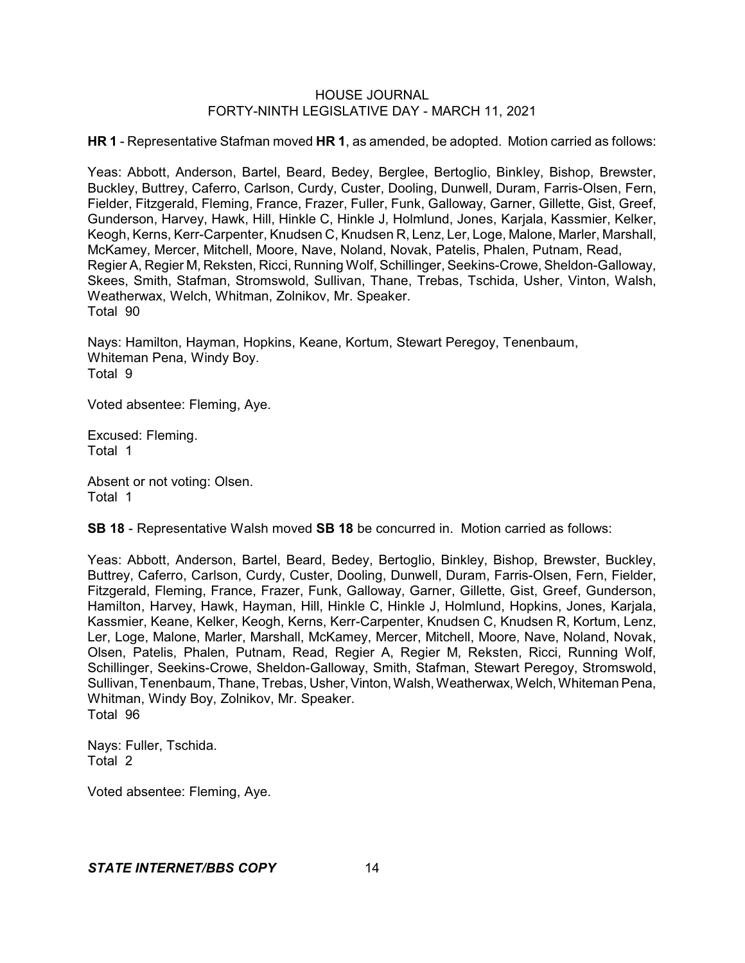**HR 1** - Representative Stafman moved **HR 1**, as amended, be adopted. Motion carried as follows:

Yeas: Abbott, Anderson, Bartel, Beard, Bedey, Berglee, Bertoglio, Binkley, Bishop, Brewster, Buckley, Buttrey, Caferro, Carlson, Curdy, Custer, Dooling, Dunwell, Duram, Farris-Olsen, Fern, Fielder, Fitzgerald, Fleming, France, Frazer, Fuller, Funk, Galloway, Garner, Gillette, Gist, Greef, Gunderson, Harvey, Hawk, Hill, Hinkle C, Hinkle J, Holmlund, Jones, Karjala, Kassmier, Kelker, Keogh, Kerns, Kerr-Carpenter, Knudsen C, Knudsen R, Lenz, Ler, Loge, Malone, Marler, Marshall, McKamey, Mercer, Mitchell, Moore, Nave, Noland, Novak, Patelis, Phalen, Putnam, Read, Regier A, Regier M, Reksten, Ricci, Running Wolf, Schillinger, Seekins-Crowe, Sheldon-Galloway, Skees, Smith, Stafman, Stromswold, Sullivan, Thane, Trebas, Tschida, Usher, Vinton, Walsh, Weatherwax, Welch, Whitman, Zolnikov, Mr. Speaker. Total 90

Nays: Hamilton, Hayman, Hopkins, Keane, Kortum, Stewart Peregoy, Tenenbaum, Whiteman Pena, Windy Boy. Total 9

Voted absentee: Fleming, Aye.

Excused: Fleming. Total 1

Absent or not voting: Olsen. Total 1

**SB 18** - Representative Walsh moved **SB 18** be concurred in. Motion carried as follows:

Yeas: Abbott, Anderson, Bartel, Beard, Bedey, Bertoglio, Binkley, Bishop, Brewster, Buckley, Buttrey, Caferro, Carlson, Curdy, Custer, Dooling, Dunwell, Duram, Farris-Olsen, Fern, Fielder, Fitzgerald, Fleming, France, Frazer, Funk, Galloway, Garner, Gillette, Gist, Greef, Gunderson, Hamilton, Harvey, Hawk, Hayman, Hill, Hinkle C, Hinkle J, Holmlund, Hopkins, Jones, Karjala, Kassmier, Keane, Kelker, Keogh, Kerns, Kerr-Carpenter, Knudsen C, Knudsen R, Kortum, Lenz, Ler, Loge, Malone, Marler, Marshall, McKamey, Mercer, Mitchell, Moore, Nave, Noland, Novak, Olsen, Patelis, Phalen, Putnam, Read, Regier A, Regier M, Reksten, Ricci, Running Wolf, Schillinger, Seekins-Crowe, Sheldon-Galloway, Smith, Stafman, Stewart Peregoy, Stromswold, Sullivan, Tenenbaum, Thane, Trebas, Usher, Vinton, Walsh, Weatherwax, Welch, Whiteman Pena, Whitman, Windy Boy, Zolnikov, Mr. Speaker. Total 96

Nays: Fuller, Tschida. Total 2

Voted absentee: Fleming, Aye.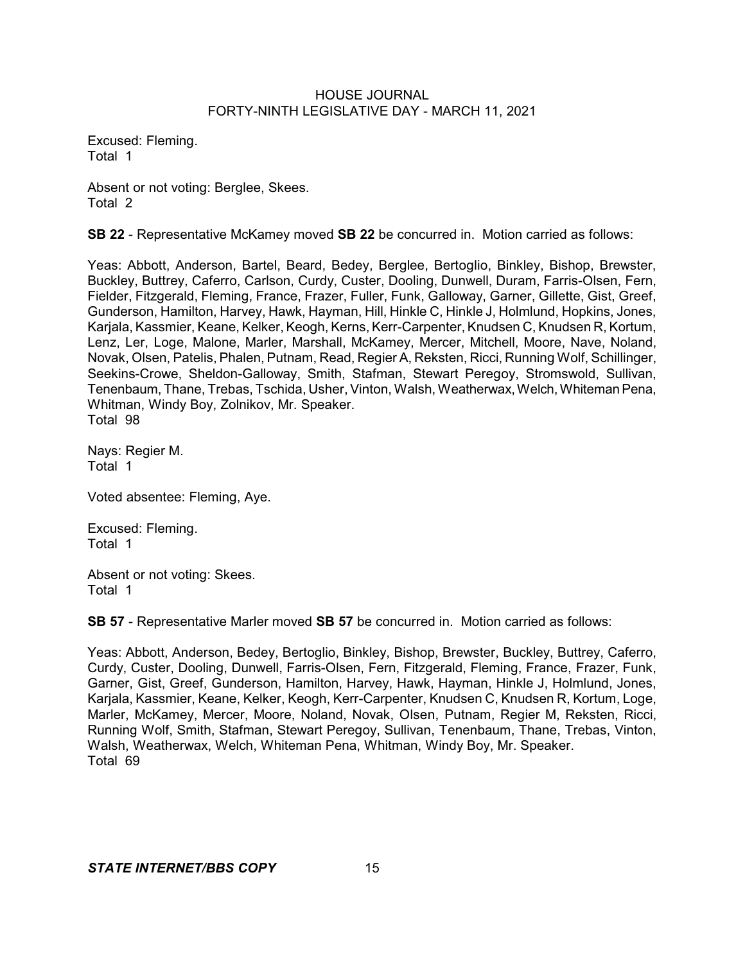Excused: Fleming. Total 1

Absent or not voting: Berglee, Skees. Total 2

**SB 22** - Representative McKamey moved **SB 22** be concurred in. Motion carried as follows:

Yeas: Abbott, Anderson, Bartel, Beard, Bedey, Berglee, Bertoglio, Binkley, Bishop, Brewster, Buckley, Buttrey, Caferro, Carlson, Curdy, Custer, Dooling, Dunwell, Duram, Farris-Olsen, Fern, Fielder, Fitzgerald, Fleming, France, Frazer, Fuller, Funk, Galloway, Garner, Gillette, Gist, Greef, Gunderson, Hamilton, Harvey, Hawk, Hayman, Hill, Hinkle C, Hinkle J, Holmlund, Hopkins, Jones, Karjala, Kassmier, Keane, Kelker, Keogh, Kerns, Kerr-Carpenter, Knudsen C, Knudsen R, Kortum, Lenz, Ler, Loge, Malone, Marler, Marshall, McKamey, Mercer, Mitchell, Moore, Nave, Noland, Novak, Olsen, Patelis, Phalen, Putnam, Read, Regier A, Reksten, Ricci, Running Wolf, Schillinger, Seekins-Crowe, Sheldon-Galloway, Smith, Stafman, Stewart Peregoy, Stromswold, Sullivan, Tenenbaum, Thane, Trebas, Tschida, Usher, Vinton, Walsh, Weatherwax,Welch, WhitemanPena, Whitman, Windy Boy, Zolnikov, Mr. Speaker. Total 98

Nays: Regier M. Total 1

Voted absentee: Fleming, Aye.

Excused: Fleming. Total 1

Absent or not voting: Skees. Total 1

**SB 57** - Representative Marler moved **SB 57** be concurred in. Motion carried as follows:

Yeas: Abbott, Anderson, Bedey, Bertoglio, Binkley, Bishop, Brewster, Buckley, Buttrey, Caferro, Curdy, Custer, Dooling, Dunwell, Farris-Olsen, Fern, Fitzgerald, Fleming, France, Frazer, Funk, Garner, Gist, Greef, Gunderson, Hamilton, Harvey, Hawk, Hayman, Hinkle J, Holmlund, Jones, Karjala, Kassmier, Keane, Kelker, Keogh, Kerr-Carpenter, Knudsen C, Knudsen R, Kortum, Loge, Marler, McKamey, Mercer, Moore, Noland, Novak, Olsen, Putnam, Regier M, Reksten, Ricci, Running Wolf, Smith, Stafman, Stewart Peregoy, Sullivan, Tenenbaum, Thane, Trebas, Vinton, Walsh, Weatherwax, Welch, Whiteman Pena, Whitman, Windy Boy, Mr. Speaker. Total 69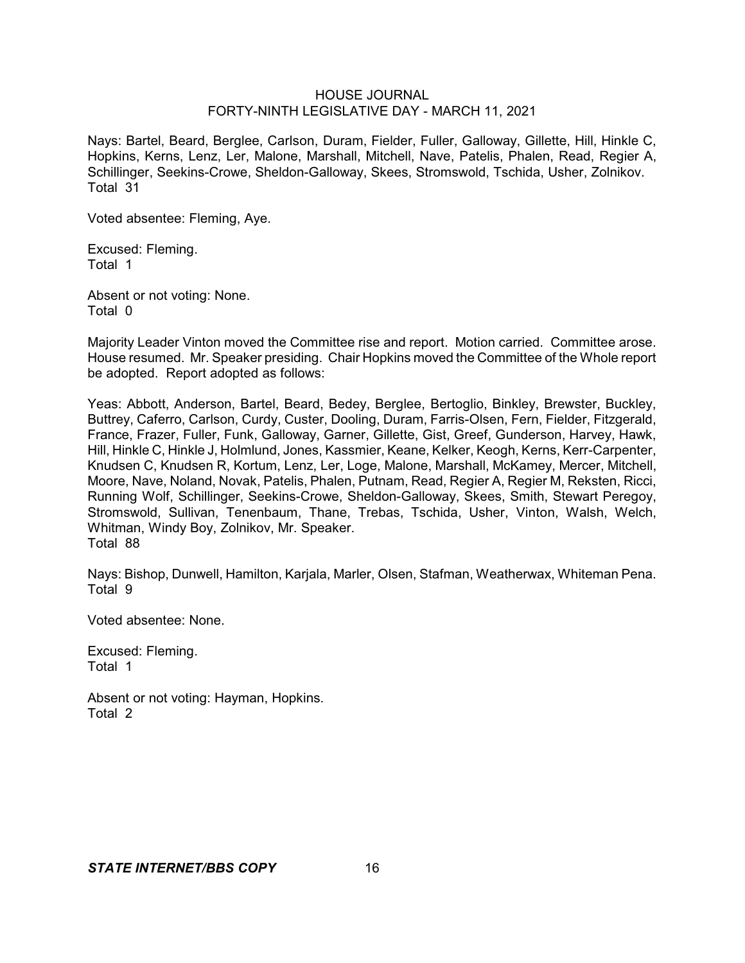Nays: Bartel, Beard, Berglee, Carlson, Duram, Fielder, Fuller, Galloway, Gillette, Hill, Hinkle C, Hopkins, Kerns, Lenz, Ler, Malone, Marshall, Mitchell, Nave, Patelis, Phalen, Read, Regier A, Schillinger, Seekins-Crowe, Sheldon-Galloway, Skees, Stromswold, Tschida, Usher, Zolnikov. Total 31

Voted absentee: Fleming, Aye.

Excused: Fleming. Total 1

Absent or not voting: None. Total 0

Majority Leader Vinton moved the Committee rise and report. Motion carried. Committee arose. House resumed. Mr. Speaker presiding. Chair Hopkins moved the Committee of the Whole report be adopted. Report adopted as follows:

Yeas: Abbott, Anderson, Bartel, Beard, Bedey, Berglee, Bertoglio, Binkley, Brewster, Buckley, Buttrey, Caferro, Carlson, Curdy, Custer, Dooling, Duram, Farris-Olsen, Fern, Fielder, Fitzgerald, France, Frazer, Fuller, Funk, Galloway, Garner, Gillette, Gist, Greef, Gunderson, Harvey, Hawk, Hill, Hinkle C, Hinkle J, Holmlund, Jones, Kassmier, Keane, Kelker, Keogh, Kerns, Kerr-Carpenter, Knudsen C, Knudsen R, Kortum, Lenz, Ler, Loge, Malone, Marshall, McKamey, Mercer, Mitchell, Moore, Nave, Noland, Novak, Patelis, Phalen, Putnam, Read, Regier A, Regier M, Reksten, Ricci, Running Wolf, Schillinger, Seekins-Crowe, Sheldon-Galloway, Skees, Smith, Stewart Peregoy, Stromswold, Sullivan, Tenenbaum, Thane, Trebas, Tschida, Usher, Vinton, Walsh, Welch, Whitman, Windy Boy, Zolnikov, Mr. Speaker. Total 88

Nays: Bishop, Dunwell, Hamilton, Karjala, Marler, Olsen, Stafman, Weatherwax, Whiteman Pena. Total 9

Voted absentee: None.

Excused: Fleming. Total 1

Absent or not voting: Hayman, Hopkins. Total 2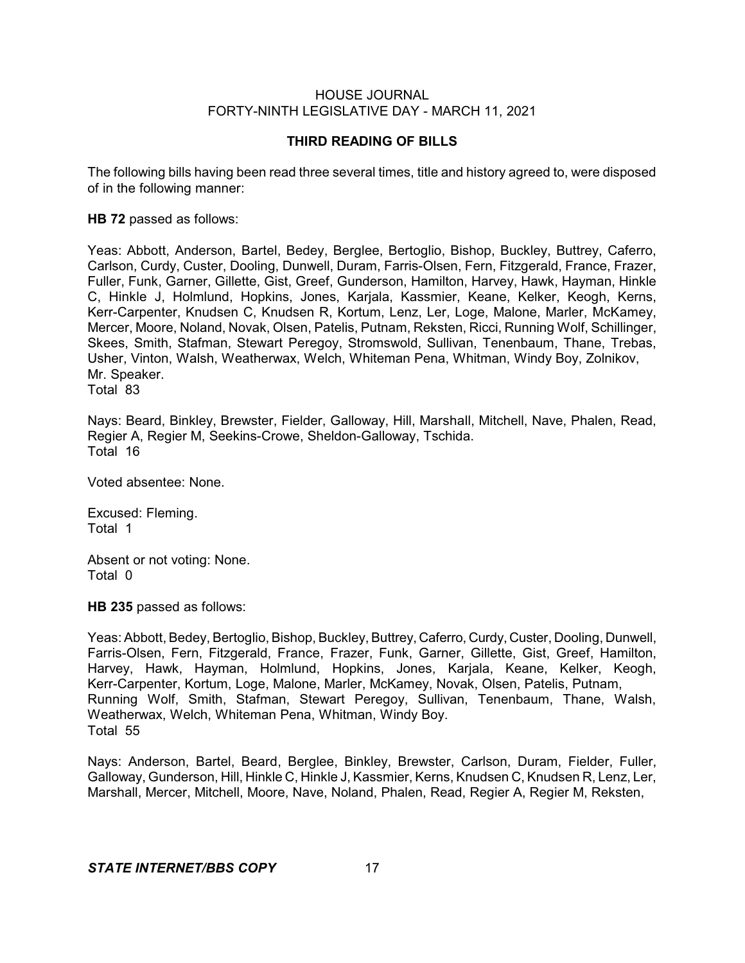## **THIRD READING OF BILLS**

The following bills having been read three several times, title and history agreed to, were disposed of in the following manner:

#### **HB 72** passed as follows:

Yeas: Abbott, Anderson, Bartel, Bedey, Berglee, Bertoglio, Bishop, Buckley, Buttrey, Caferro, Carlson, Curdy, Custer, Dooling, Dunwell, Duram, Farris-Olsen, Fern, Fitzgerald, France, Frazer, Fuller, Funk, Garner, Gillette, Gist, Greef, Gunderson, Hamilton, Harvey, Hawk, Hayman, Hinkle C, Hinkle J, Holmlund, Hopkins, Jones, Karjala, Kassmier, Keane, Kelker, Keogh, Kerns, Kerr-Carpenter, Knudsen C, Knudsen R, Kortum, Lenz, Ler, Loge, Malone, Marler, McKamey, Mercer, Moore, Noland, Novak, Olsen, Patelis, Putnam, Reksten, Ricci, Running Wolf, Schillinger, Skees, Smith, Stafman, Stewart Peregoy, Stromswold, Sullivan, Tenenbaum, Thane, Trebas, Usher, Vinton, Walsh, Weatherwax, Welch, Whiteman Pena, Whitman, Windy Boy, Zolnikov, Mr. Speaker. Total 83

Nays: Beard, Binkley, Brewster, Fielder, Galloway, Hill, Marshall, Mitchell, Nave, Phalen, Read, Regier A, Regier M, Seekins-Crowe, Sheldon-Galloway, Tschida. Total 16

Voted absentee: None.

Excused: Fleming. Total 1

Absent or not voting: None. Total 0

**HB 235** passed as follows:

Yeas: Abbott, Bedey, Bertoglio, Bishop, Buckley, Buttrey, Caferro, Curdy, Custer, Dooling, Dunwell, Farris-Olsen, Fern, Fitzgerald, France, Frazer, Funk, Garner, Gillette, Gist, Greef, Hamilton, Harvey, Hawk, Hayman, Holmlund, Hopkins, Jones, Karjala, Keane, Kelker, Keogh, Kerr-Carpenter, Kortum, Loge, Malone, Marler, McKamey, Novak, Olsen, Patelis, Putnam, Running Wolf, Smith, Stafman, Stewart Peregoy, Sullivan, Tenenbaum, Thane, Walsh, Weatherwax, Welch, Whiteman Pena, Whitman, Windy Boy. Total 55

Nays: Anderson, Bartel, Beard, Berglee, Binkley, Brewster, Carlson, Duram, Fielder, Fuller, Galloway, Gunderson, Hill, Hinkle C, Hinkle J, Kassmier, Kerns, Knudsen C, Knudsen R, Lenz, Ler, Marshall, Mercer, Mitchell, Moore, Nave, Noland, Phalen, Read, Regier A, Regier M, Reksten,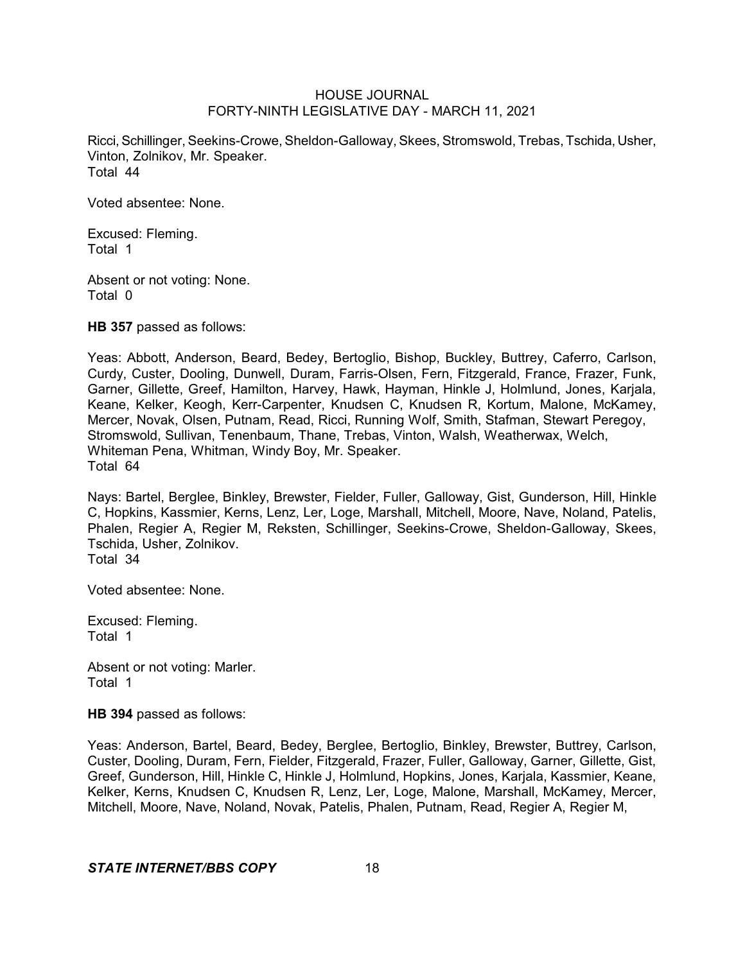Ricci, Schillinger, Seekins-Crowe, Sheldon-Galloway, Skees, Stromswold, Trebas, Tschida, Usher, Vinton, Zolnikov, Mr. Speaker. Total 44

Voted absentee: None.

Excused: Fleming. Total 1

Absent or not voting: None. Total 0

**HB 357** passed as follows:

Yeas: Abbott, Anderson, Beard, Bedey, Bertoglio, Bishop, Buckley, Buttrey, Caferro, Carlson, Curdy, Custer, Dooling, Dunwell, Duram, Farris-Olsen, Fern, Fitzgerald, France, Frazer, Funk, Garner, Gillette, Greef, Hamilton, Harvey, Hawk, Hayman, Hinkle J, Holmlund, Jones, Karjala, Keane, Kelker, Keogh, Kerr-Carpenter, Knudsen C, Knudsen R, Kortum, Malone, McKamey, Mercer, Novak, Olsen, Putnam, Read, Ricci, Running Wolf, Smith, Stafman, Stewart Peregoy, Stromswold, Sullivan, Tenenbaum, Thane, Trebas, Vinton, Walsh, Weatherwax, Welch, Whiteman Pena, Whitman, Windy Boy, Mr. Speaker. Total 64

Nays: Bartel, Berglee, Binkley, Brewster, Fielder, Fuller, Galloway, Gist, Gunderson, Hill, Hinkle C, Hopkins, Kassmier, Kerns, Lenz, Ler, Loge, Marshall, Mitchell, Moore, Nave, Noland, Patelis, Phalen, Regier A, Regier M, Reksten, Schillinger, Seekins-Crowe, Sheldon-Galloway, Skees, Tschida, Usher, Zolnikov. Total 34

Voted absentee: None.

Excused: Fleming. Total 1

Absent or not voting: Marler. Total 1

**HB 394** passed as follows:

Yeas: Anderson, Bartel, Beard, Bedey, Berglee, Bertoglio, Binkley, Brewster, Buttrey, Carlson, Custer, Dooling, Duram, Fern, Fielder, Fitzgerald, Frazer, Fuller, Galloway, Garner, Gillette, Gist, Greef, Gunderson, Hill, Hinkle C, Hinkle J, Holmlund, Hopkins, Jones, Karjala, Kassmier, Keane, Kelker, Kerns, Knudsen C, Knudsen R, Lenz, Ler, Loge, Malone, Marshall, McKamey, Mercer, Mitchell, Moore, Nave, Noland, Novak, Patelis, Phalen, Putnam, Read, Regier A, Regier M,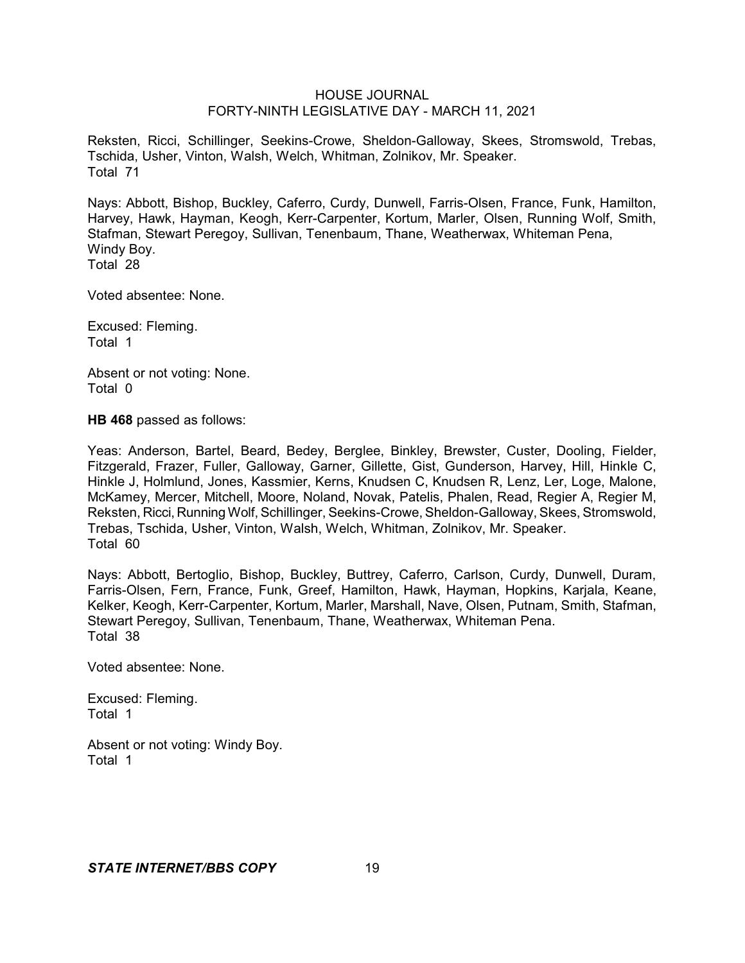Reksten, Ricci, Schillinger, Seekins-Crowe, Sheldon-Galloway, Skees, Stromswold, Trebas, Tschida, Usher, Vinton, Walsh, Welch, Whitman, Zolnikov, Mr. Speaker. Total 71

Nays: Abbott, Bishop, Buckley, Caferro, Curdy, Dunwell, Farris-Olsen, France, Funk, Hamilton, Harvey, Hawk, Hayman, Keogh, Kerr-Carpenter, Kortum, Marler, Olsen, Running Wolf, Smith, Stafman, Stewart Peregoy, Sullivan, Tenenbaum, Thane, Weatherwax, Whiteman Pena, Windy Boy. Total 28

Voted absentee: None.

Excused: Fleming. Total 1

Absent or not voting: None. Total 0

**HB 468** passed as follows:

Yeas: Anderson, Bartel, Beard, Bedey, Berglee, Binkley, Brewster, Custer, Dooling, Fielder, Fitzgerald, Frazer, Fuller, Galloway, Garner, Gillette, Gist, Gunderson, Harvey, Hill, Hinkle C, Hinkle J, Holmlund, Jones, Kassmier, Kerns, Knudsen C, Knudsen R, Lenz, Ler, Loge, Malone, McKamey, Mercer, Mitchell, Moore, Noland, Novak, Patelis, Phalen, Read, Regier A, Regier M, Reksten, Ricci, Running Wolf, Schillinger, Seekins-Crowe, Sheldon-Galloway, Skees, Stromswold, Trebas, Tschida, Usher, Vinton, Walsh, Welch, Whitman, Zolnikov, Mr. Speaker. Total 60

Nays: Abbott, Bertoglio, Bishop, Buckley, Buttrey, Caferro, Carlson, Curdy, Dunwell, Duram, Farris-Olsen, Fern, France, Funk, Greef, Hamilton, Hawk, Hayman, Hopkins, Karjala, Keane, Kelker, Keogh, Kerr-Carpenter, Kortum, Marler, Marshall, Nave, Olsen, Putnam, Smith, Stafman, Stewart Peregoy, Sullivan, Tenenbaum, Thane, Weatherwax, Whiteman Pena. Total 38

Voted absentee: None.

Excused: Fleming. Total 1

Absent or not voting: Windy Boy. Total 1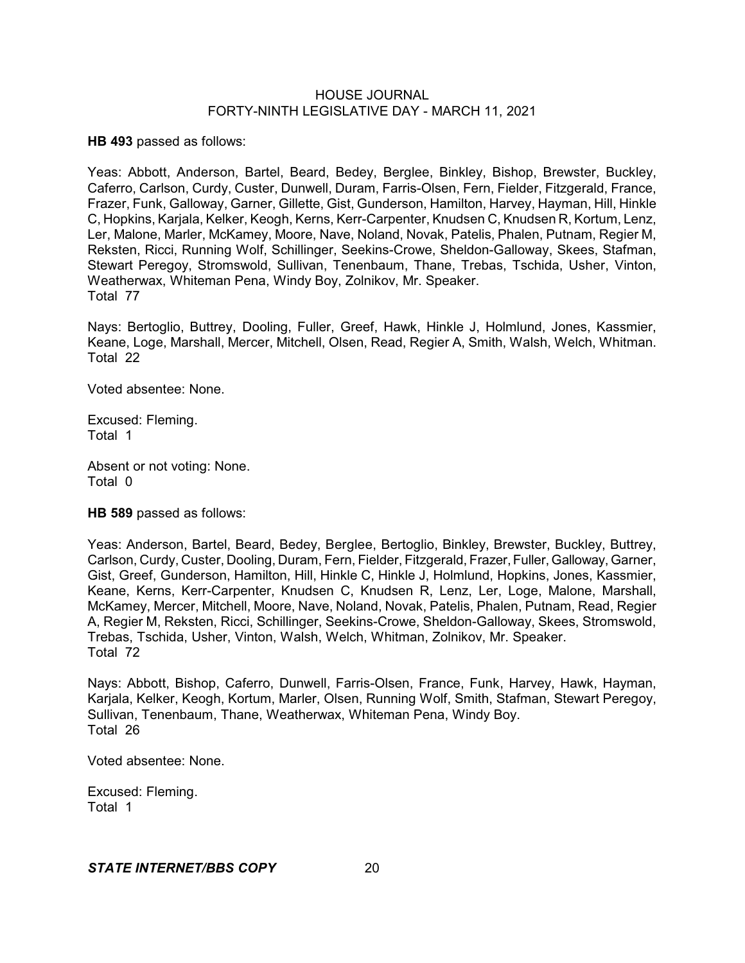**HB 493** passed as follows:

Yeas: Abbott, Anderson, Bartel, Beard, Bedey, Berglee, Binkley, Bishop, Brewster, Buckley, Caferro, Carlson, Curdy, Custer, Dunwell, Duram, Farris-Olsen, Fern, Fielder, Fitzgerald, France, Frazer, Funk, Galloway, Garner, Gillette, Gist, Gunderson, Hamilton, Harvey, Hayman, Hill, Hinkle C, Hopkins, Karjala, Kelker, Keogh, Kerns, Kerr-Carpenter, Knudsen C, Knudsen R, Kortum, Lenz, Ler, Malone, Marler, McKamey, Moore, Nave, Noland, Novak, Patelis, Phalen, Putnam, Regier M, Reksten, Ricci, Running Wolf, Schillinger, Seekins-Crowe, Sheldon-Galloway, Skees, Stafman, Stewart Peregoy, Stromswold, Sullivan, Tenenbaum, Thane, Trebas, Tschida, Usher, Vinton, Weatherwax, Whiteman Pena, Windy Boy, Zolnikov, Mr. Speaker. Total 77

Nays: Bertoglio, Buttrey, Dooling, Fuller, Greef, Hawk, Hinkle J, Holmlund, Jones, Kassmier, Keane, Loge, Marshall, Mercer, Mitchell, Olsen, Read, Regier A, Smith, Walsh, Welch, Whitman. Total 22

Voted absentee: None.

Excused: Fleming. Total 1

Absent or not voting: None. Total 0

**HB 589** passed as follows:

Yeas: Anderson, Bartel, Beard, Bedey, Berglee, Bertoglio, Binkley, Brewster, Buckley, Buttrey, Carlson, Curdy, Custer, Dooling, Duram, Fern, Fielder, Fitzgerald, Frazer, Fuller,Galloway, Garner, Gist, Greef, Gunderson, Hamilton, Hill, Hinkle C, Hinkle J, Holmlund, Hopkins, Jones, Kassmier, Keane, Kerns, Kerr-Carpenter, Knudsen C, Knudsen R, Lenz, Ler, Loge, Malone, Marshall, McKamey, Mercer, Mitchell, Moore, Nave, Noland, Novak, Patelis, Phalen, Putnam, Read, Regier A, Regier M, Reksten, Ricci, Schillinger, Seekins-Crowe, Sheldon-Galloway, Skees, Stromswold, Trebas, Tschida, Usher, Vinton, Walsh, Welch, Whitman, Zolnikov, Mr. Speaker. Total 72

Nays: Abbott, Bishop, Caferro, Dunwell, Farris-Olsen, France, Funk, Harvey, Hawk, Hayman, Karjala, Kelker, Keogh, Kortum, Marler, Olsen, Running Wolf, Smith, Stafman, Stewart Peregoy, Sullivan, Tenenbaum, Thane, Weatherwax, Whiteman Pena, Windy Boy. Total 26

Voted absentee: None.

Excused: Fleming. Total 1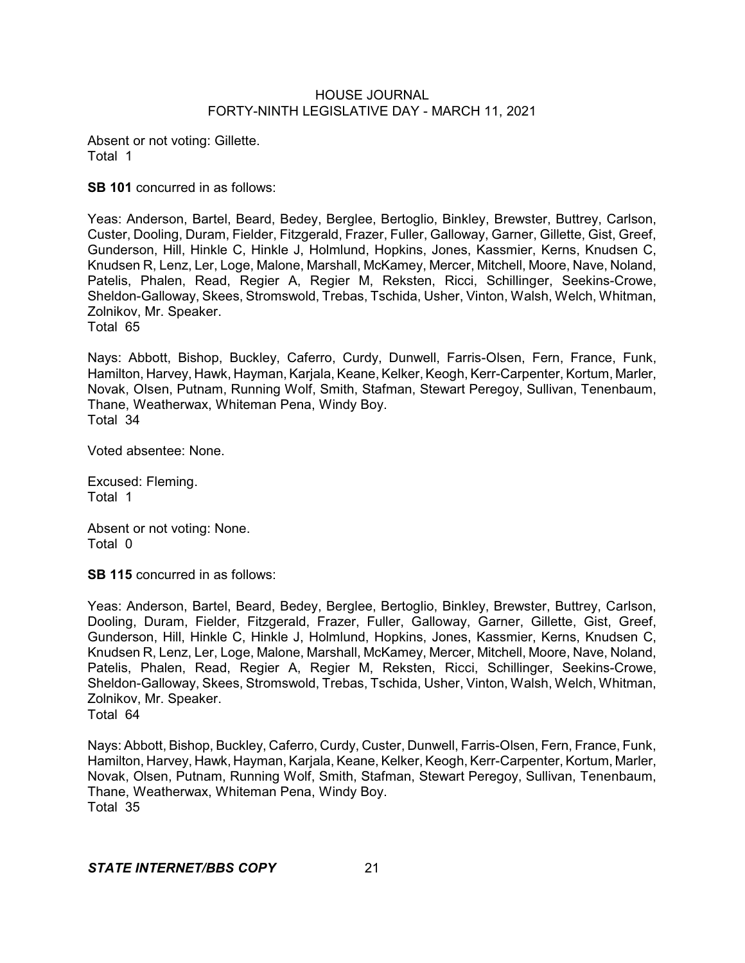Absent or not voting: Gillette. Total 1

**SB 101** concurred in as follows:

Yeas: Anderson, Bartel, Beard, Bedey, Berglee, Bertoglio, Binkley, Brewster, Buttrey, Carlson, Custer, Dooling, Duram, Fielder, Fitzgerald, Frazer, Fuller, Galloway, Garner, Gillette, Gist, Greef, Gunderson, Hill, Hinkle C, Hinkle J, Holmlund, Hopkins, Jones, Kassmier, Kerns, Knudsen C, Knudsen R, Lenz, Ler, Loge, Malone, Marshall, McKamey, Mercer, Mitchell, Moore, Nave, Noland, Patelis, Phalen, Read, Regier A, Regier M, Reksten, Ricci, Schillinger, Seekins-Crowe, Sheldon-Galloway, Skees, Stromswold, Trebas, Tschida, Usher, Vinton, Walsh, Welch, Whitman, Zolnikov, Mr. Speaker.

Total 65

Nays: Abbott, Bishop, Buckley, Caferro, Curdy, Dunwell, Farris-Olsen, Fern, France, Funk, Hamilton, Harvey, Hawk, Hayman, Karjala, Keane, Kelker, Keogh, Kerr-Carpenter, Kortum, Marler, Novak, Olsen, Putnam, Running Wolf, Smith, Stafman, Stewart Peregoy, Sullivan, Tenenbaum, Thane, Weatherwax, Whiteman Pena, Windy Boy. Total 34

Voted absentee: None.

Excused: Fleming. Total 1

Absent or not voting: None. Total 0

**SB 115** concurred in as follows:

Yeas: Anderson, Bartel, Beard, Bedey, Berglee, Bertoglio, Binkley, Brewster, Buttrey, Carlson, Dooling, Duram, Fielder, Fitzgerald, Frazer, Fuller, Galloway, Garner, Gillette, Gist, Greef, Gunderson, Hill, Hinkle C, Hinkle J, Holmlund, Hopkins, Jones, Kassmier, Kerns, Knudsen C, Knudsen R, Lenz, Ler, Loge, Malone, Marshall, McKamey, Mercer, Mitchell, Moore, Nave, Noland, Patelis, Phalen, Read, Regier A, Regier M, Reksten, Ricci, Schillinger, Seekins-Crowe, Sheldon-Galloway, Skees, Stromswold, Trebas, Tschida, Usher, Vinton, Walsh, Welch, Whitman, Zolnikov, Mr. Speaker. Total 64

Nays: Abbott, Bishop, Buckley, Caferro, Curdy, Custer, Dunwell, Farris-Olsen, Fern, France, Funk, Hamilton, Harvey, Hawk, Hayman, Karjala, Keane, Kelker, Keogh, Kerr-Carpenter, Kortum, Marler, Novak, Olsen, Putnam, Running Wolf, Smith, Stafman, Stewart Peregoy, Sullivan, Tenenbaum, Thane, Weatherwax, Whiteman Pena, Windy Boy. Total 35